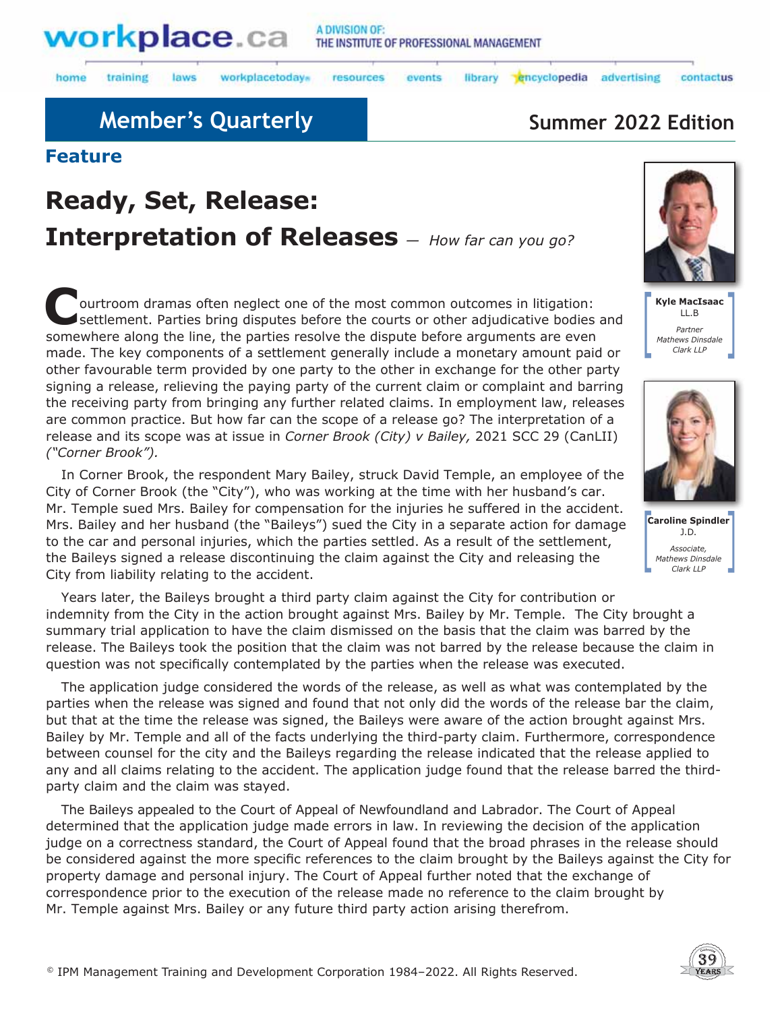

training laws workplacetodays

resources events

advertising

library encyclopedia

# **Member's Quarterly <b>Summer 2022 Edition**

### **Feature**

home

# **Ready, Set, Release: Interpretation of Releases** *— How far can you go?*

**Courtroom dramas often neglect one of the most common outcomes in litigation:**<br>
settlement. Parties bring disputes before the courts or other adjudicative bodies and somewhere along the line, the parties resolve the dispute before arguments are even made. The key components of a settlement generally include a monetary amount paid or other favourable term provided by one party to the other in exchange for the other party signing a release, relieving the paying party of the current claim or complaint and barring the receiving party from bringing any further related claims. In employment law, releases are common practice. But how far can the scope of a release go? The interpretation of a release and its scope was at issue in *Corner Brook (City) v Bailey,* 2021 SCC 29 (CanLII) *("Corner Brook").*

In Corner Brook, the respondent Mary Bailey, struck David Temple, an employee of the City of Corner Brook (the "City"), who was working at the time with her husband's car. Mr. Temple sued Mrs. Bailey for compensation for the injuries he suffered in the accident. Mrs. Bailey and her husband (the "Baileys") sued the City in a separate action for damage to the car and personal injuries, which the parties settled. As a result of the settlement, the Baileys signed a release discontinuing the claim against the City and releasing the City from liability relating to the accident.

Years later, the Baileys brought a third party claim against the City for contribution or indemnity from the City in the action brought against Mrs. Bailey by Mr. Temple. The City brought a summary trial application to have the claim dismissed on the basis that the claim was barred by the release. The Baileys took the position that the claim was not barred by the release because the claim in question was not specifically contemplated by the parties when the release was executed.

The application judge considered the words of the release, as well as what was contemplated by the parties when the release was signed and found that not only did the words of the release bar the claim, but that at the time the release was signed, the Baileys were aware of the action brought against Mrs. Bailey by Mr. Temple and all of the facts underlying the third-party claim. Furthermore, correspondence between counsel for the city and the Baileys regarding the release indicated that the release applied to any and all claims relating to the accident. The application judge found that the release barred the thirdparty claim and the claim was stayed.

The Baileys appealed to the Court of Appeal of Newfoundland and Labrador. The Court of Appeal determined that the application judge made errors in law. In reviewing the decision of the application judge on a correctness standard, the Court of Appeal found that the broad phrases in the release should be considered against the more specific references to the claim brought by the Baileys against the City for property damage and personal injury. The Court of Appeal further noted that the exchange of correspondence prior to the execution of the release made no reference to the claim brought by Mr. Temple against Mrs. Bailey or any future third party action arising therefrom.



contactus

**Kyle MacIsaac** LL.B *Partner Mathews Dinsdale Clark LLP*



**Caroline Spindler** J.D. *Associate, Mathews Dinsdale Clark LLP*